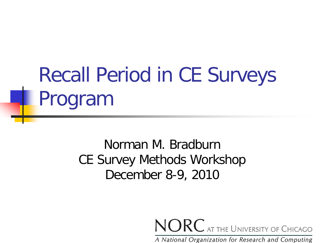# Recall Period in CE Surveys Program

#### Norman M. Bradburn CE Survey Methods Workshop December 8-9, 2010

NORC AT THE UNIVERSITY OF CHICAGO

A National Organization for Research and Computing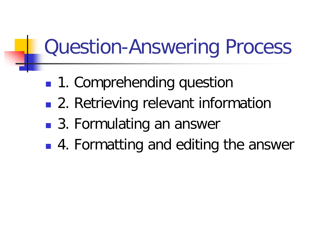# Question-Answering Process

- 1. Comprehending question
- 2. Retrieving relevant information
- 3. Formulating an answer
- 4. Formatting and editing the answer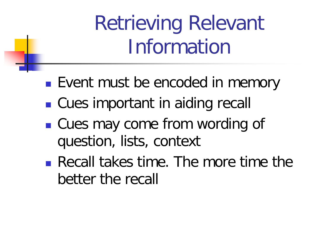Retrieving Relevant Information

- **Event must be encoded in memory**
- Cues important in aiding recall
- Cues may come from wording of question, lists, context
- Recall takes time. The more time the better the recall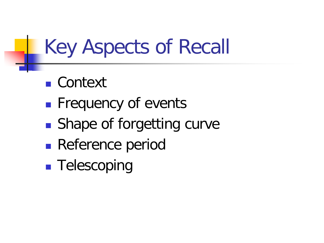## Key Aspects of Recall

- Context
- **Frequency of events**
- Shape of forgetting curve
- **Reference period**
- **Telescoping**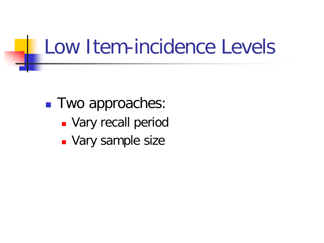### Low Item-incidence Levels

**Two approaches: Vary recall period Vary sample size**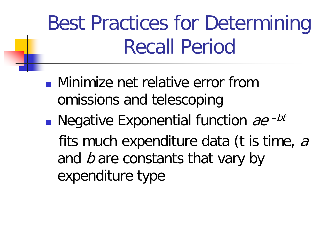Best Practices for Determining Recall Period

- **Ninimize net relative error from** omissions and telescoping
- **Negative Exponential function** ae  $-bt$ fits much expenditure data (t is time, a and  $b$  are constants that vary by expenditure type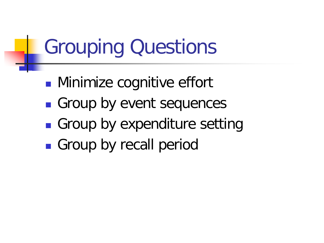## Grouping Questions

- **Minimize cognitive effort**
- Group by event sequences
- Group by expenditure setting
- **Group by recall period**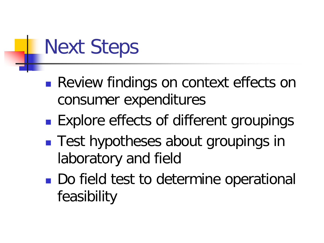# Next Steps

- **Review findings on context effects on** consumer expenditures
- **Explore effects of different groupings**
- Test hypotheses about groupings in laboratory and field
- Do field test to determine operational feasibility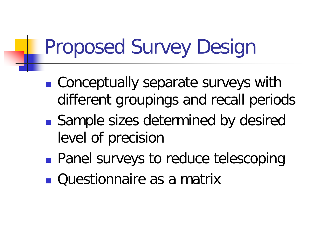## Proposed Survey Design

- Conceptually separate surveys with different groupings and recall periods
- Sample sizes determined by desired level of precision
- **Panel surveys to reduce telescoping**
- **Questionnaire as a matrix**